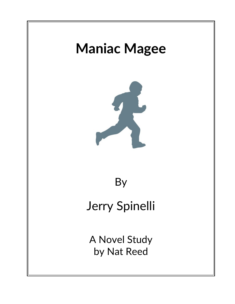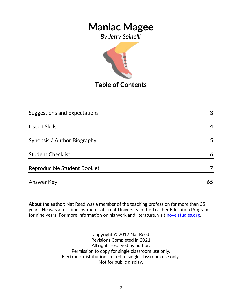*By Jerry Spinelli*



**Table of Contents**

| <b>Suggestions and Expectations</b> | 3  |
|-------------------------------------|----|
|                                     |    |
| List of Skills                      | 4  |
|                                     |    |
| Synopsis / Author Biography         | 5  |
|                                     |    |
| <b>Student Checklist</b>            | 6  |
| Reproducible Student Booklet        |    |
|                                     |    |
| <b>Answer Key</b>                   | 65 |

**About the author:** Nat Reed was a member of the teaching profession for more than 35 years. He was a full-time instructor at Trent University in the Teacher Education Program for nine years. For more information on his work and literature, visit [novelstudies.org.](http://www.novelstudies.org/)

> Copyright © 2012 Nat Reed Revisions Completed in 2021 All rights reserved by author. Permission to copy for single classroom use only. Electronic distribution limited to single classroom use only. Not for public display.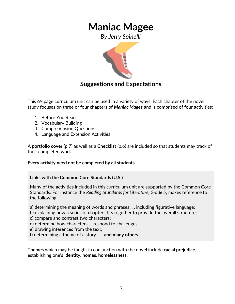*By Jerry Spinelli*



### **Suggestions and Expectations**

This 69 page curriculum unit can be used in a variety of ways. Each chapter of the novel study focuses on three or four chapters of *Maniac Magee* and is comprised of four activities:

- 1. Before You Read
- 2. Vocabulary Building
- 3. Comprehension Questions
- 4. Language and Extension Activities

A **portfolio cover** (p.7) as well as a **Checklist** (p.6) are included so that students may track of their completed work.

#### **Every activity need not be completed by all students.**

#### **Links with the Common Core Standards (U.S.)**

Many of the activities included in this curriculum unit are supported by the Common Core Standards. For instance the *Reading Standards for Literature, Grade 5*, makes reference to the following

a) determining the meaning of words and phrases. . . including figurative language;

b) explaining how a series of chapters fits together to provide the overall structure;

c) compare and contrast two characters;

d) determine how characters … respond to challenges;

e) drawing inferences from the text;

f) determining a theme of a story . . . **and many others.**

**Themes** which may be taught in conjunction with the novel include **racial prejudice**, establishing one's **identity**, **homes**, **homelessness**.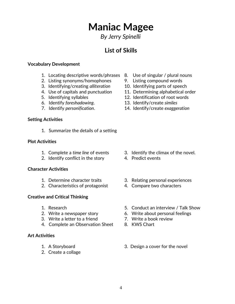### *By Jerry Spinelli*

### **List of Skills**

#### **Vocabulary Development**

- 1. Locating descriptive words/phrases 8. Use of singular / plural nouns
- 2. Listing synonyms/homophones 9. Listing compound words
- 3. Identifying/creating *alliteration* 10. Identifying parts of speech
- 
- 
- 6. Identify *foreshadowing*. 13. Identify/create *similes*
- 

#### **Setting Activities**

1. Summarize the details of a setting

#### **Plot Activities**

- 
- 2. Identify conflict in the story 4. Predict events

#### **Character Activities**

- 
- 2. Characteristics of protagonist 4. Compare two characters

#### **Creative and Critical Thinking**

- 
- 
- 3. Write a letter to a friend 7. Write a book review
- 4. Complete an Observation Sheet 8. KWS Chart

#### **Art Activities**

- 
- 2. Create a collage
- 
- 
- 
- 4. Use of capitals and punctuation 11. Determining alphabetical order
- 5. Identifying syllables 12. Identification of root words
	-
- 7. Identify *personification*. 14. Identify/create *exaggeration*

- 1. Complete a *time line* of events 3. Identify the climax of the novel.
	-
- 1. Determine character traits 3. Relating personal experiences
	-
- 1. Research 5. Conduct an interview / Talk Show
- 2. Write a newspaper story 6. Write about personal feelings
	-
	-
- 1. A Storyboard 3. Design a cover for the novel

4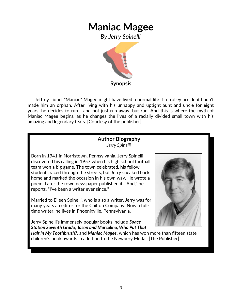*By Jerry Spinelli*



 Jeffrey Lionel "Maniac" Magee might have lived a normal life if a trolley accident hadn't made him an orphan. After living with his unhappy and uptight aunt and uncle for eight years, he decides to run - and not just run away, but run. And this is where the myth of Maniac Magee begins, as he changes the lives of a racially divided small town with his amazing and legendary feats. [Courtesy of the publisher]

#### **Author Biography** *Jerry Spinelli*

Born in 1941 in Norristown, Pennsylvania, Jerry Spinelli discovered his calling in 1957 when his high school football team won a big game. The town celebrated, his fellow students raced through the streets, but Jerry sneaked back home and marked the occasion in his own way. He wrote a poem. Later the town newspaper published it. "And," he reports, "I've been a writer ever since."

Married to Eileen Spinelli, who is also a writer, Jerry was for many years an editor for the Chilton Company. Now a fulltime writer, he lives in Phoenixville, Pennsylvania.

Jerry Spinelli's immensely popular books include *Space Station Seventh Grade*, J*ason and Marceline, Who Put That*



*Hair in My Toothbrush?*, and *Maniac Magee*, which has won more than fifteen state children's book awards in addition to the Newbery Medal. [The Publisher]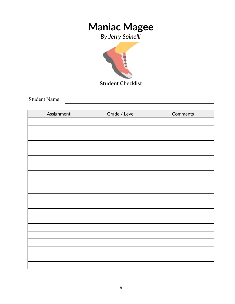*By Jerry Spinelli*



Student Name

| Assignment | Grade / Level | Comments |
|------------|---------------|----------|
|            |               |          |
|            |               |          |
|            |               |          |
|            |               |          |
|            |               |          |
|            |               |          |
|            |               |          |
|            |               |          |
|            |               |          |
|            |               |          |
|            |               |          |
|            |               |          |
|            |               |          |
|            |               |          |
|            |               |          |
|            |               |          |
|            |               |          |
|            |               |          |
|            |               |          |
|            |               |          |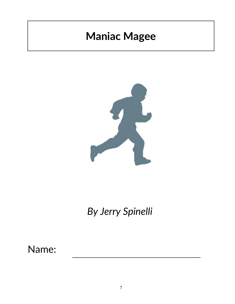

*By Jerry Spinelli*

Name: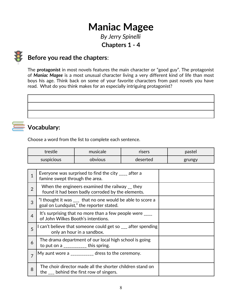*By Jerry Spinelli* **Chapters 1 - 4**



## **Before you read the chapters**:

The **protagonist** in most novels features the main character or "good guy". The protagonist of *Maniac Magee* is a most unusual character living a very different kind of life than most boys his age. Think back on some of your favorite characters from past novels you have read. What do you think makes for an especially intriguing protagonist?



Choose a word from the list to complete each sentence.

| trestle           | musicale | risers   | pastel |
|-------------------|----------|----------|--------|
| <b>SUSPICIOUS</b> | obvious  | deserted | grungy |

| 1              | Everyone was surprised to find the city $\frac{1}{2}$ after a<br>famine swept through the area.                  |  |
|----------------|------------------------------------------------------------------------------------------------------------------|--|
| $\overline{2}$ | When the engineers examined the railway _ they<br>found it had been badly corroded by the elements.              |  |
| 3              | "I thought it was ___ that no one would be able to score a<br>goal on Lundquist," the reporter stated.           |  |
| $\overline{4}$ | It's surprising that no more than a few people were $\frac{1}{1}$<br>of John Wilkes Booth's intentions.          |  |
| 5              | can't believe that someone could get so $\mathcal{L}$ after spending<br>only an hour in a sandbox.               |  |
| 6              | The drama department of our local high school is going<br>to put on a $\frac{1}{2}$ = $\frac{1}{2}$ this spring. |  |
| $\overline{7}$ | My aunt wore a $\frac{1}{2}$ = $\frac{1}{2}$ dress to the ceremony.                                              |  |
| 8              | The choir director made all the shorter children stand on<br>the <u>ever</u> behind the first row of singers.    |  |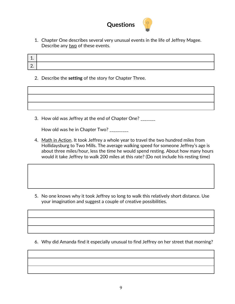

1. Chapter One describes several very unusual events in the life of Jeffrey Magee. Describe any two of these events.

| <b>.</b> |  |
|----------|--|
| <u>.</u> |  |

2. Describe the **setting** of the story for Chapter Three.

3. How old was Jeffrey at the end of Chapter One? \_\_\_\_\_\_\_

How old was he in Chapter Two? \_\_\_\_\_\_\_\_\_

4. Math in Action. It took Jeffrey a whole year to travel the two hundred miles from Hollidaysburg to Two Mills. The average walking speed for someone Jeffrey's age is about three miles/hour, less the time he would spend resting. About how many hours would it take Jeffrey to walk 200 miles at this rate? (Do not include his resting time)

5. No one knows why it took Jeffrey so long to walk this relatively short distance. Use your imagination and suggest a couple of creative possibilities.

6. Why did Amanda find it especially unusual to find Jeffrey on her street that morning?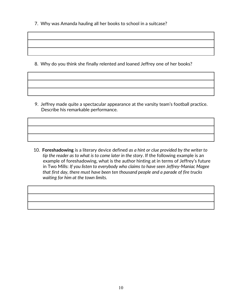7. Why was Amanda hauling all her books to school in a suitcase?

8. Why do you think she finally relented and loaned Jeffrey one of her books?

 9. Jeffrey made quite a spectacular appearance at the varsity team's football practice. Describe his remarkable performance.

 10. **Foreshadowing** is a literary device defined *as a hint or clue provided by the writer to tip the reader as to what is to come later in the story*. If the following example is an example of foreshadowing, what is the author hinting at in terms of Jeffrey's future in Two Mills: *If you listen to everybody who claims to have seen Jeffrey-Maniac Magee that first day, there must have been ten thousand people and a parade of fire trucks waiting for him at the town limits.*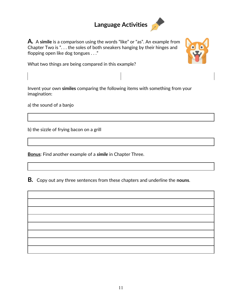# **Language Activities**

**A***.* A **simile** is a comparison using the words "like" or "as". An example from Chapter Two is ". . . the soles of both sneakers hanging by their hinges and flopping open like dog tongues . . ."



What two things are being compared in this example?

Invent your own **similes** comparing the following items with something from your imagination:

a) the sound of a banjo

b) the sizzle of frying bacon on a grill

**Bonus**: Find another example of a *simile* in Chapter Three.

**B***.* Copy out any three sentences from these chapters and underline the **nouns**.

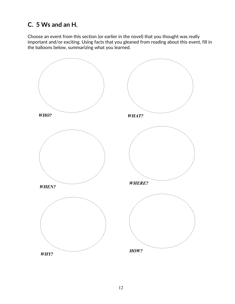## **C. 5 Ws and an H.**

Choose an event from this section (or earlier in the novel) that you thought was really important and/or exciting. Using facts that you gleaned from reading about this event, fill in the balloons below, summarizing what you learned.

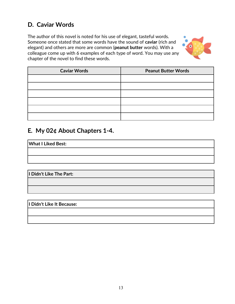## **D. Caviar Words**

The author of this novel is noted for his use of elegant, tasteful words. Someone once stated that some words have the sound of **caviar** (rich and elegant) and others are more are common (**peanut butter** words). With a colleague come up with 6 examples of each type of word. You may use any chapter of the novel to find these words.



| <b>Caviar Words</b> | <b>Peanut Butter Words</b> |
|---------------------|----------------------------|
|                     |                            |
|                     |                            |
|                     |                            |
|                     |                            |
|                     |                            |
|                     |                            |

### **E***.* **My 02¢ About Chapters 1-4.**

**What I Liked Best:** 

**I Didn't Like The Part:**

**I Didn't Like It Because:**